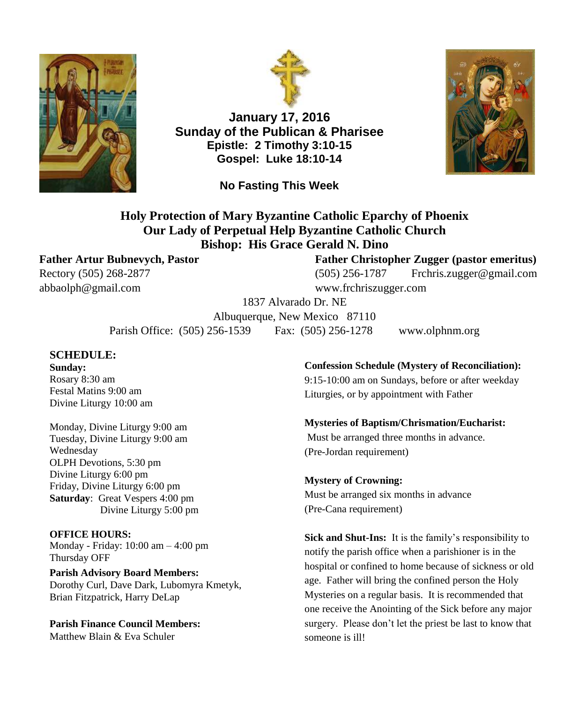



**January 17, 2016 Sunday of the Publican & Pharisee Epistle: 2 Timothy 3:10-15 Gospel: Luke 18:10-14**



**No Fasting This Week**

## **Holy Protection of Mary Byzantine Catholic Eparchy of Phoenix Our Lady of Perpetual Help Byzantine Catholic Church Bishop: His Grace Gerald N. Dino**

[abbaolph@gmail.com](mailto:abbaolph@gmail.com) www.frchriszugger.com

#### **Father Artur Bubnevych, Pastor Father Christopher Zugger (pastor emeritus)**

Rectory (505) 268-2877 (505) 256-1787 [Frchris.zugger@gmail.com](mailto:Frchris.zugger@gmail.com)

1837 Alvarado Dr. NE

Albuquerque, New Mexico 87110 Parish Office: (505) 256-1539 Fax: (505) 256-1278 www.olphnm.org

#### **SCHEDULE:**

**Sunday:** Rosary 8:30 am Festal Matins 9:00 am Divine Liturgy 10:00 am

Monday, Divine Liturgy 9:00 am Tuesday, Divine Liturgy 9:00 am Wednesday OLPH Devotions, 5:30 pm Divine Liturgy 6:00 pm Friday, Divine Liturgy 6:00 pm **Saturday**: Great Vespers 4:00 pm Divine Liturgy 5:00 pm

#### **OFFICE HOURS:**

Monday - Friday: 10:00 am – 4:00 pm Thursday OFF

**Parish Advisory Board Members:** Dorothy Curl, Dave Dark, Lubomyra Kmetyk, Brian Fitzpatrick, Harry DeLap

**Parish Finance Council Members:** Matthew Blain & Eva Schuler

#### **Confession Schedule (Mystery of Reconciliation):**

9:15-10:00 am on Sundays, before or after weekday Liturgies, or by appointment with Father

#### **Mysteries of Baptism/Chrismation/Eucharist:**

Must be arranged three months in advance. (Pre-Jordan requirement)

#### **Mystery of Crowning:** Must be arranged six months in advance (Pre-Cana requirement)

**Sick and Shut-Ins:** It is the family's responsibility to notify the parish office when a parishioner is in the hospital or confined to home because of sickness or old age. Father will bring the confined person the Holy Mysteries on a regular basis. It is recommended that one receive the Anointing of the Sick before any major surgery. Please don't let the priest be last to know that someone is ill!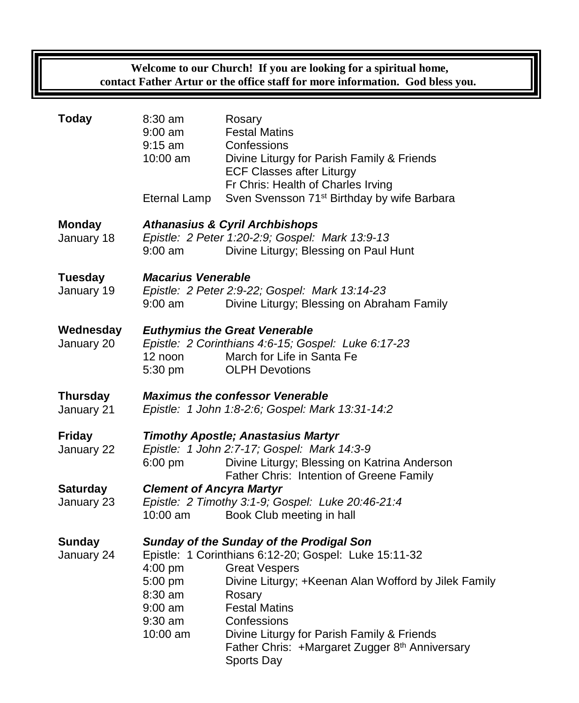**Welcome to our Church! If you are looking for a spiritual home, contact Father Artur or the office staff for more information. God bless you.**

| <b>Today</b>                  | 8:30 am<br>$9:00$ am<br>$9:15$ am<br>10:00 am                                                                                                                                                                                                                                                                                                                                                                                  | Rosary<br><b>Festal Matins</b><br>Confessions<br>Divine Liturgy for Parish Family & Friends<br><b>ECF Classes after Liturgy</b><br>Fr Chris: Health of Charles Irving |  |
|-------------------------------|--------------------------------------------------------------------------------------------------------------------------------------------------------------------------------------------------------------------------------------------------------------------------------------------------------------------------------------------------------------------------------------------------------------------------------|-----------------------------------------------------------------------------------------------------------------------------------------------------------------------|--|
|                               | <b>Eternal Lamp</b>                                                                                                                                                                                                                                                                                                                                                                                                            | Sven Svensson 71 <sup>st</sup> Birthday by wife Barbara                                                                                                               |  |
| <b>Monday</b><br>January 18   | <b>Athanasius &amp; Cyril Archbishops</b><br>Epistle: 2 Peter 1:20-2:9; Gospel: Mark 13:9-13<br>$9:00$ am<br>Divine Liturgy; Blessing on Paul Hunt                                                                                                                                                                                                                                                                             |                                                                                                                                                                       |  |
| <b>Tuesday</b><br>January 19  | <b>Macarius Venerable</b><br>Epistle: 2 Peter 2:9-22; Gospel: Mark 13:14-23<br>Divine Liturgy; Blessing on Abraham Family<br>$9:00$ am                                                                                                                                                                                                                                                                                         |                                                                                                                                                                       |  |
| Wednesday<br>January 20       | <b>Euthymius the Great Venerable</b><br>Epistle: 2 Corinthians 4:6-15; Gospel: Luke 6:17-23<br>March for Life in Santa Fe<br>12 noon<br>5:30 pm<br><b>OLPH Devotions</b>                                                                                                                                                                                                                                                       |                                                                                                                                                                       |  |
| <b>Thursday</b><br>January 21 | <b>Maximus the confessor Venerable</b><br>Epistle: 1 John 1:8-2:6; Gospel: Mark 13:31-14:2                                                                                                                                                                                                                                                                                                                                     |                                                                                                                                                                       |  |
| <b>Friday</b><br>January 22   | <b>Timothy Apostle; Anastasius Martyr</b><br>Epistle: 1 John 2:7-17; Gospel: Mark 14:3-9<br>Divine Liturgy; Blessing on Katrina Anderson<br>6:00 pm<br>Father Chris: Intention of Greene Family                                                                                                                                                                                                                                |                                                                                                                                                                       |  |
| <b>Saturday</b><br>January 23 | <b>Clement of Ancyra Martyr</b><br>Epistle: 2 Timothy 3:1-9; Gospel: Luke 20:46-21:4<br>Book Club meeting in hall<br>10:00 am                                                                                                                                                                                                                                                                                                  |                                                                                                                                                                       |  |
| <b>Sunday</b><br>January 24   | <b>Sunday of the Sunday of the Prodigal Son</b><br>Epistle: 1 Corinthians 6:12-20; Gospel: Luke 15:11-32<br>4:00 pm<br><b>Great Vespers</b><br>5:00 pm<br>Divine Liturgy; +Keenan Alan Wofford by Jilek Family<br>8:30 am<br>Rosary<br><b>Festal Matins</b><br>$9:00$ am<br>$9:30$ am<br>Confessions<br>Divine Liturgy for Parish Family & Friends<br>10:00 am<br>Father Chris: +Margaret Zugger 8th Anniversary<br>Sports Day |                                                                                                                                                                       |  |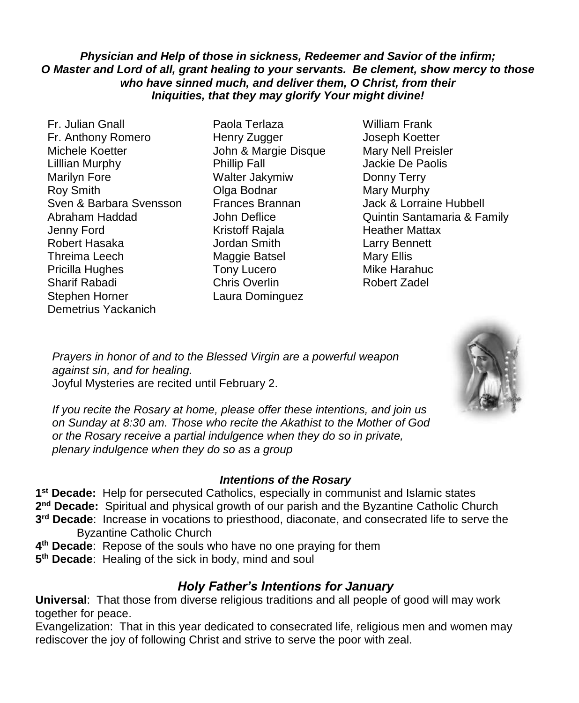## *Physician and Help of those in sickness, Redeemer and Savior of the infirm; O Master and Lord of all, grant healing to your servants. Be clement, show mercy to those who have sinned much, and deliver them, O Christ, from their Iniquities, that they may glorify Your might divine!*

- Fr. Julian Gnall Paola Terlaza William Frank Fr. Anthony Romero Henry Zugger Joseph Koetter Michele Koetter John & Margie Disque Mary Nell Preisler Lilllian Murphy Phillip Fall Jackie De Paolis Marilyn Fore **Walter Jakymiw** Donny Terry Roy Smith **Communist Communist Communist Communist Communist Communist Communist Communist Communist Communist Communist Communist Communist Communist Communist Communist Communist Communist Communist Communist Communist C** Sven & Barbara Svensson Frances Brannan Jack & Lorraine Hubbell Jenny Ford Kristoff Rajala Heather Mattax Robert Hasaka Jordan Smith Larry Bennett Threima Leech Maggie Batsel Mary Ellis Pricilla Hughes Tony Lucero **Mike Harahuc** Sharif Rabadi Chris Overlin Robert Zadel Stephen Horner Laura Dominguez Demetrius Yackanich
- 
- Abraham Haddad **John Deflice** Quintin Santamaria & Family

*Prayers in honor of and to the Blessed Virgin are a powerful weapon against sin, and for healing.*  Joyful Mysteries are recited until February 2.



*If you recite the Rosary at home, please offer these intentions, and join us on Sunday at 8:30 am. Those who recite the Akathist to the Mother of God or the Rosary receive a partial indulgence when they do so in private, plenary indulgence when they do so as a group*

## *Intentions of the Rosary*

**1 st Decade:** Help for persecuted Catholics, especially in communist and Islamic states 2<sup>nd</sup> Decade: Spiritual and physical growth of our parish and the Byzantine Catholic Church **3 rd Decade**: Increase in vocations to priesthood, diaconate, and consecrated life to serve the Byzantine Catholic Church

- **4 th Decade**: Repose of the souls who have no one praying for them
- **5 th Decade**: Healing of the sick in body, mind and soul

# *Holy Father's Intentions for January*

**Universal**: That those from diverse religious traditions and all people of good will may work together for peace.

Evangelization: That in this year dedicated to consecrated life, religious men and women may rediscover the joy of following Christ and strive to serve the poor with zeal.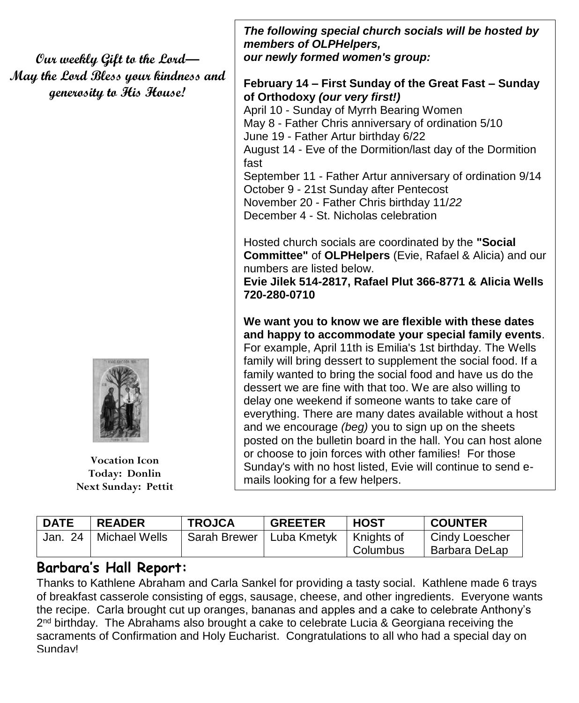**Our weekly Gift to the Lord— May the Lord Bless your kindness and generosity to His House!**



**Vocation Icon Today: Donlin Next Sunday: Pettit**

*The following special church socials will be hosted by members of OLPHelpers, our newly formed women's group:*

## **February 14 – First Sunday of the Great Fast – Sunday of Orthodoxy** *(our very first!)*

April 10 - Sunday of Myrrh Bearing Women May 8 - Father Chris anniversary of ordination 5/10 June 19 - Father Artur birthday 6/22 August 14 - Eve of the Dormition/last day of the Dormition fast September 11 - Father Artur anniversary of ordination 9/14 October 9 - 21st Sunday after Pentecost November 20 - Father Chris birthday 11/*22* December 4 - St. Nicholas celebration

Hosted church socials are coordinated by the **"Social Committee"** of **OLPHelpers** (Evie, Rafael & Alicia) and our numbers are listed below.

**Evie Jilek 514-2817, Rafael Plut 366-8771 & Alicia Wells 720-280-0710**

**We want you to know we are flexible with these dates and happy to accommodate your special family events**. For example, April 11th is Emilia's 1st birthday. The Wells family will bring dessert to supplement the social food. If a family wanted to bring the social food and have us do the dessert we are fine with that too. We are also willing to delay one weekend if someone wants to take care of everything. There are many dates available without a host and we encourage *(beg)* you to sign up on the sheets posted on the bulletin board in the hall. You can host alone or choose to join forces with other families! For those Sunday's with no host listed, Evie will continue to send emails looking for a few helpers.

| <b>DATE</b> | <b>READER</b>           | <b>TROJCA</b> | <b>GREETER</b> | <b>HOST</b>              | <b>COUNTER</b>                  |
|-------------|-------------------------|---------------|----------------|--------------------------|---------------------------------|
|             | Jan. 24   Michael Wells | Sarah Brewer  | l Luba Kmetvk  | ∣ Knights of<br>Columbus | Cindy Loescher<br>Barbara DeLap |

# **Barbara's Hall Report:**

Thanks to Kathlene Abraham and Carla Sankel for providing a tasty social. Kathlene made 6 trays of breakfast casserole consisting of eggs, sausage, cheese, and other ingredients. Everyone wants the recipe. Carla brought cut up oranges, bananas and apples and a cake to celebrate Anthony's 2<sup>nd</sup> birthday. The Abrahams also brought a cake to celebrate Lucia & Georgiana receiving the sacraments of Confirmation and Holy Eucharist. Congratulations to all who had a special day on Sunday!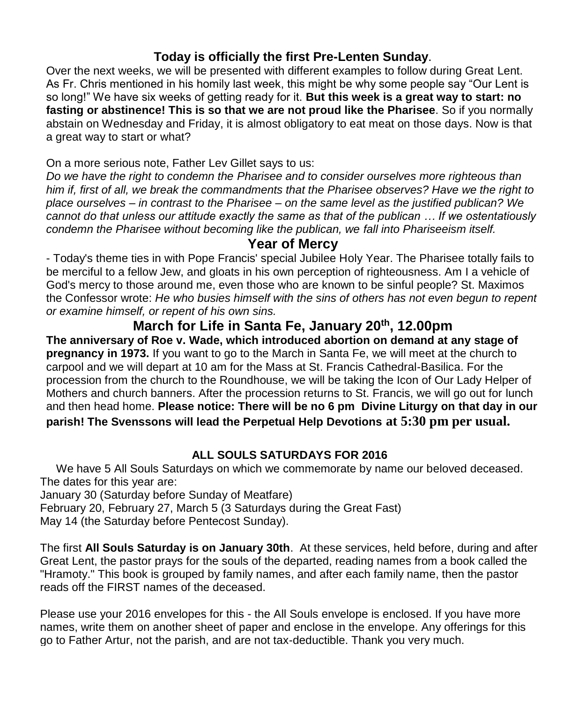# **Today is officially the first Pre-Lenten Sunday**.

Over the next weeks, we will be presented with different examples to follow during Great Lent. As Fr. Chris mentioned in his homily last week, this might be why some people say "Our Lent is so long!" We have six weeks of getting ready for it. **But this week is a great way to start: no fasting or abstinence! This is so that we are not proud like the Pharisee**. So if you normally abstain on Wednesday and Friday, it is almost obligatory to eat meat on those days. Now is that a great way to start or what?

On a more serious note, Father Lev Gillet says to us:

*Do we have the right to condemn the Pharisee and to consider ourselves more righteous than him if, first of all, we break the commandments that the Pharisee observes? Have we the right to place ourselves – in contrast to the Pharisee – on the same level as the justified publican? We cannot do that unless our attitude exactly the same as that of the publican … If we ostentatiously condemn the Pharisee without becoming like the publican, we fall into Phariseeism itself.*

# **Year of Mercy**

- Today's theme ties in with Pope Francis' special Jubilee Holy Year. The Pharisee totally fails to be merciful to a fellow Jew, and gloats in his own perception of righteousness. Am I a vehicle of God's mercy to those around me, even those who are known to be sinful people? St. Maximos the Confessor wrote: *He who busies himself with the sins of others has not even begun to repent or examine himself, or repent of his own sins.* 

**March for Life in Santa Fe, January 20th, 12.00pm The anniversary of Roe v. Wade, which introduced abortion on demand at any stage of pregnancy in 1973.** If you want to go to the March in Santa Fe, we will meet at the church to carpool and we will depart at 10 am for the Mass at St. Francis Cathedral-Basilica. For the procession from the church to the Roundhouse, we will be taking the Icon of Our Lady Helper of Mothers and church banners. After the procession returns to St. Francis, we will go out for lunch and then head home. **Please notice: There will be no 6 pm Divine Liturgy on that day in our parish! The Svenssons will lead the Perpetual Help Devotions at 5:30 pm per usual.**

# **ALL SOULS SATURDAYS FOR 2016**

We have 5 All Souls Saturdays on which we commemorate by name our beloved deceased. The dates for this year are:

January 30 (Saturday before Sunday of Meatfare) February 20, February 27, March 5 (3 Saturdays during the Great Fast) May 14 (the Saturday before Pentecost Sunday).

The first **All Souls Saturday is on January 30th**. At these services, held before, during and after Great Lent, the pastor prays for the souls of the departed, reading names from a book called the "Hramoty." This book is grouped by family names, and after each family name, then the pastor reads off the FIRST names of the deceased.

Please use your 2016 envelopes for this - the All Souls envelope is enclosed. If you have more names, write them on another sheet of paper and enclose in the envelope. Any offerings for this go to Father Artur, not the parish, and are not tax-deductible. Thank you very much.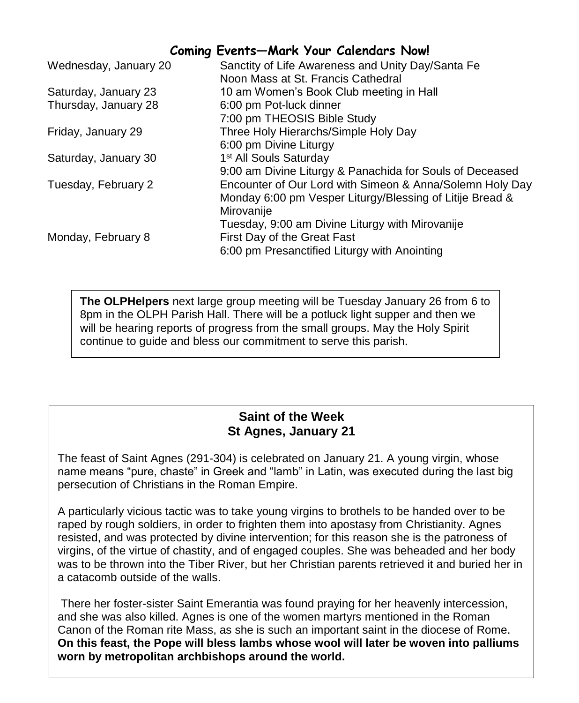# **Coming Events—Mark Your Calendars Now!**

| Wednesday, January 20 | Sanctity of Life Awareness and Unity Day/Santa Fe        |
|-----------------------|----------------------------------------------------------|
|                       | Noon Mass at St. Francis Cathedral                       |
| Saturday, January 23  | 10 am Women's Book Club meeting in Hall                  |
| Thursday, January 28  | 6:00 pm Pot-luck dinner                                  |
|                       | 7:00 pm THEOSIS Bible Study                              |
| Friday, January 29    | Three Holy Hierarchs/Simple Holy Day                     |
|                       | 6:00 pm Divine Liturgy                                   |
| Saturday, January 30  | 1 <sup>st</sup> All Souls Saturday                       |
|                       | 9:00 am Divine Liturgy & Panachida for Souls of Deceased |
| Tuesday, February 2   | Encounter of Our Lord with Simeon & Anna/Solemn Holy Day |
|                       | Monday 6:00 pm Vesper Liturgy/Blessing of Litije Bread & |
|                       | Mirovanije                                               |
|                       | Tuesday, 9:00 am Divine Liturgy with Mirovanije          |
| Monday, February 8    | First Day of the Great Fast                              |
|                       | 6:00 pm Presanctified Liturgy with Anointing             |
|                       |                                                          |

**The OLPHelpers** next large group meeting will be Tuesday January 26 from 6 to 8pm in the OLPH Parish Hall. There will be a potluck light supper and then we will be hearing reports of progress from the small groups. May the Holy Spirit continue to guide and bless our commitment to serve this parish.

# **Saint of the Week St Agnes, January 21**

The feast of Saint Agnes (291-304) is celebrated on January 21. A young virgin, whose name means "pure, chaste" in Greek and "lamb" in Latin, was executed during the last big persecution of Christians in the Roman Empire.

A particularly vicious tactic was to take young virgins to brothels to be handed over to be raped by rough soldiers, in order to frighten them into apostasy from Christianity. Agnes resisted, and was protected by divine intervention; for this reason she is the patroness of virgins, of the virtue of chastity, and of engaged couples. She was beheaded and her body was to be thrown into the Tiber River, but her Christian parents retrieved it and buried her in a catacomb outside of the walls.

There her foster-sister Saint Emerantia was found praying for her heavenly intercession, and she was also killed. Agnes is one of the women martyrs mentioned in the Roman Canon of the Roman rite Mass, as she is such an important saint in the diocese of Rome. **On this feast, the Pope will bless lambs whose wool will later be woven into palliums worn by metropolitan archbishops around the world.**